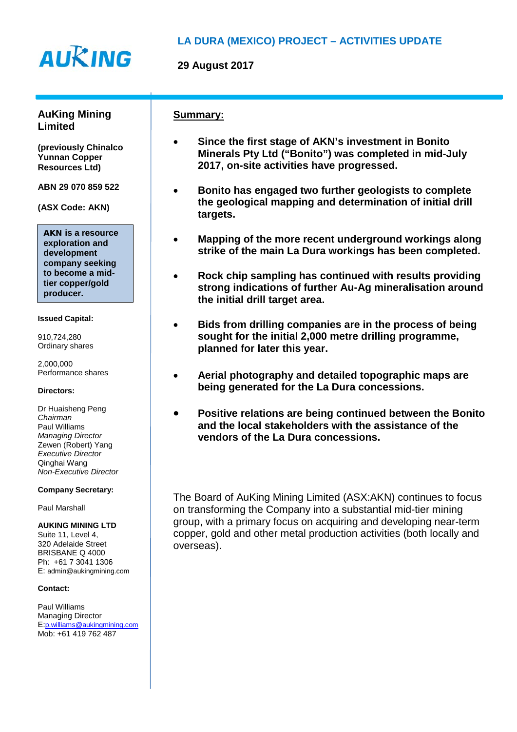

**29 August 2017**

| <b>AuKing Mining</b><br>Limited                                                                                                                                                                               | <b>Summary:</b>                                                                                                                                                                                                                                                                              |
|---------------------------------------------------------------------------------------------------------------------------------------------------------------------------------------------------------------|----------------------------------------------------------------------------------------------------------------------------------------------------------------------------------------------------------------------------------------------------------------------------------------------|
| (previously Chinalco<br><b>Yunnan Copper</b><br><b>Resources Ltd)</b>                                                                                                                                         | Since the first stage of AKN's investment in Bonito<br>$\bullet$<br>Minerals Pty Ltd ("Bonito") was completed in mid-July<br>2017, on-site activities have progressed.                                                                                                                       |
| ABN 29 070 859 522<br>(ASX Code: AKN)                                                                                                                                                                         | Bonito has engaged two further geologists to complete<br>the geological mapping and determination of initial drill<br>targets.                                                                                                                                                               |
| <b>AKN is a resource</b><br>exploration and<br>development                                                                                                                                                    | Mapping of the more recent underground workings along<br>strike of the main La Dura workings has been completed.                                                                                                                                                                             |
| company seeking<br>to become a mid-<br>tier copper/gold<br>producer.                                                                                                                                          | Rock chip sampling has continued with results providing<br>strong indications of further Au-Ag mineralisation around<br>the initial drill target area.                                                                                                                                       |
| <b>Issued Capital:</b><br>910,724,280<br>Ordinary shares                                                                                                                                                      | Bids from drilling companies are in the process of being<br>$\bullet$<br>sought for the initial 2,000 metre drilling programme,<br>planned for later this year.                                                                                                                              |
| 2,000,000<br>Performance shares<br><b>Directors:</b>                                                                                                                                                          | Aerial photography and detailed topographic maps are<br>being generated for the La Dura concessions.                                                                                                                                                                                         |
| Dr Huaisheng Peng<br>Chairman<br>Paul Williams<br><b>Managing Director</b><br>Zewen (Robert) Yang<br>Executive Director<br>Qinghai Wang<br><b>Non-Executive Director</b>                                      | Positive relations are being continued between the Bonito<br>and the local stakeholders with the assistance of the<br>vendors of the La Dura concessions.                                                                                                                                    |
| <b>Company Secretary:</b><br>Paul Marshall<br><b>AUKING MINING LTD</b><br>Suite 11, Level 4,<br>320 Adelaide Street<br>BRISBANE Q 4000<br>Ph: +61 7 3041 1306<br>E: admin@aukingmining.com<br><b>Contact:</b> | The Board of AuKing Mining Limited (ASX:AKN) continues to focus<br>on transforming the Company into a substantial mid-tier mining<br>group, with a primary focus on acquiring and developing near-term<br>copper, gold and other metal production activities (both locally and<br>overseas). |
| Paul Williams<br><b>Managing Director</b><br>E:p.williams@aukingmining.com<br>Mob: +61 419 762 487                                                                                                            |                                                                                                                                                                                                                                                                                              |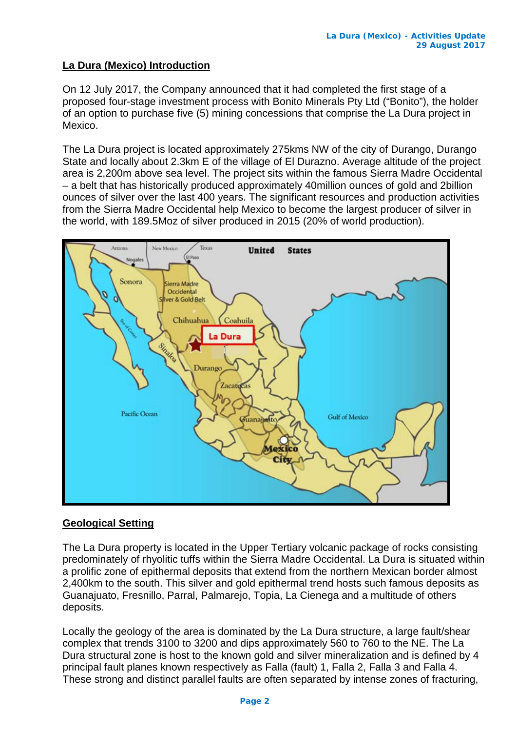## **La Dura (Mexico) Introduction**

On 12 July 2017, the Company announced that it had completed the first stage of a proposed four-stage investment process with Bonito Minerals Pty Ltd ("Bonito"), the holder of an option to purchase five (5) mining concessions that comprise the La Dura project in Mexico.

The La Dura project is located approximately 275kms NW of the city of Durango, Durango State and locally about 2.3km E of the village of El Durazno. Average altitude of the project area is 2,200m above sea level. The project sits within the famous Sierra Madre Occidental – a belt that has historically produced approximately 40million ounces of gold and 2billion ounces of silver over the last 400 years. The significant resources and production activities from the Sierra Madre Occidental help Mexico to become the largest producer of silver in the world, with 189.5Moz of silver produced in 2015 (20% of world production).



## **Geological Setting**

The La Dura property is located in the Upper Tertiary volcanic package of rocks consisting predominately of rhyolitic tuffs within the Sierra Madre Occidental. La Dura is situated within a prolific zone of epithermal deposits that extend from the northern Mexican border almost 2,400km to the south. This silver and gold epithermal trend hosts such famous deposits as Guanajuato, Fresnillo, Parral, Palmarejo, Topia, La Cienega and a multitude of others deposits.

Locally the geology of the area is dominated by the La Dura structure, a large fault/shear complex that trends 3100 to 3200 and dips approximately 560 to 760 to the NE. The La Dura structural zone is host to the known gold and silver mineralization and is defined by 4 principal fault planes known respectively as Falla (fault) 1, Falla 2, Falla 3 and Falla 4. These strong and distinct parallel faults are often separated by intense zones of fracturing,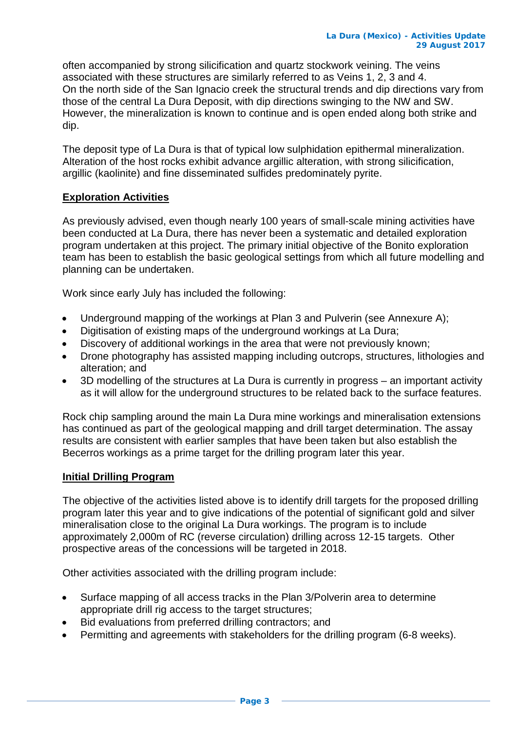often accompanied by strong silicification and quartz stockwork veining. The veins associated with these structures are similarly referred to as Veins 1, 2, 3 and 4. On the north side of the San Ignacio creek the structural trends and dip directions vary from those of the central La Dura Deposit, with dip directions swinging to the NW and SW. However, the mineralization is known to continue and is open ended along both strike and dip.

The deposit type of La Dura is that of typical low sulphidation epithermal mineralization. Alteration of the host rocks exhibit advance argillic alteration, with strong silicification, argillic (kaolinite) and fine disseminated sulfides predominately pyrite.

# **Exploration Activities**

As previously advised, even though nearly 100 years of small-scale mining activities have been conducted at La Dura, there has never been a systematic and detailed exploration program undertaken at this project. The primary initial objective of the Bonito exploration team has been to establish the basic geological settings from which all future modelling and planning can be undertaken.

Work since early July has included the following:

- Underground mapping of the workings at Plan 3 and Pulverin (see Annexure A);
- Digitisation of existing maps of the underground workings at La Dura;
- Discovery of additional workings in the area that were not previously known;
- Drone photography has assisted mapping including outcrops, structures, lithologies and alteration; and
- 3D modelling of the structures at La Dura is currently in progress an important activity as it will allow for the underground structures to be related back to the surface features.

Rock chip sampling around the main La Dura mine workings and mineralisation extensions has continued as part of the geological mapping and drill target determination. The assay results are consistent with earlier samples that have been taken but also establish the Becerros workings as a prime target for the drilling program later this year.

## **Initial Drilling Program**

The objective of the activities listed above is to identify drill targets for the proposed drilling program later this year and to give indications of the potential of significant gold and silver mineralisation close to the original La Dura workings. The program is to include approximately 2,000m of RC (reverse circulation) drilling across 12-15 targets. Other prospective areas of the concessions will be targeted in 2018.

Other activities associated with the drilling program include:

- Surface mapping of all access tracks in the Plan 3/Polverin area to determine appropriate drill rig access to the target structures;
- Bid evaluations from preferred drilling contractors; and
- Permitting and agreements with stakeholders for the drilling program (6-8 weeks).